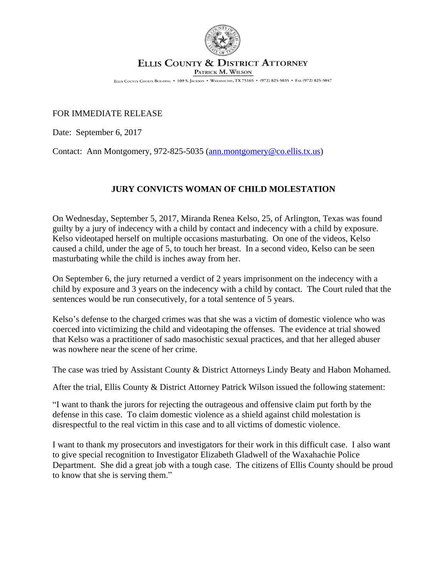

## ELLIS COUNTY & DISTRICT ATTORNEY

PATRICK M. WILSON

ELLIS COUNTY COURTS BUILDING . 109 S. JACKSON . WAXAHACHIE, TX 75165 . (972) 825-5035 . FAX (972) 825-5047

## FOR IMMEDIATE RELEASE

Date: September 6, 2017

Contact: Ann Montgomery, 972-825-5035 ([ann.montgomery@co.ellis.tx.us](mailto:ann.montgomery@co.ellis.tx.us))

## **JURY CONVICTS WOMAN OF CHILD MOLESTATION**

On Wednesday, September 5, 2017, Miranda Renea Kelso, 25, of Arlington, Texas was found guilty by a jury of indecency with a child by contact and indecency with a child by exposure. Kelso videotaped herself on multiple occasions masturbating. On one of the videos, Kelso caused a child, under the age of 5, to touch her breast. In a second video, Kelso can be seen masturbating while the child is inches away from her.

On September 6, the jury returned a verdict of 2 years imprisonment on the indecency with a child by exposure and 3 years on the indecency with a child by contact. The Court ruled that the sentences would be run consecutively, for a total sentence of 5 years.

Kelso's defense to the charged crimes was that she was a victim of domestic violence who was coerced into victimizing the child and videotaping the offenses. The evidence at trial showed that Kelso was a practitioner of sado masochistic sexual practices, and that her alleged abuser was nowhere near the scene of her crime.

The case was tried by Assistant County & District Attorneys Lindy Beaty and Habon Mohamed.

After the trial, Ellis County & District Attorney Patrick Wilson issued the following statement:

"I want to thank the jurors for rejecting the outrageous and offensive claim put forth by the defense in this case. To claim domestic violence as a shield against child molestation is disrespectful to the real victim in this case and to all victims of domestic violence.

I want to thank my prosecutors and investigators for their work in this difficult case. I also want to give special recognition to Investigator Elizabeth Gladwell of the Waxahachie Police Department. She did a great job with a tough case. The citizens of Ellis County should be proud to know that she is serving them."